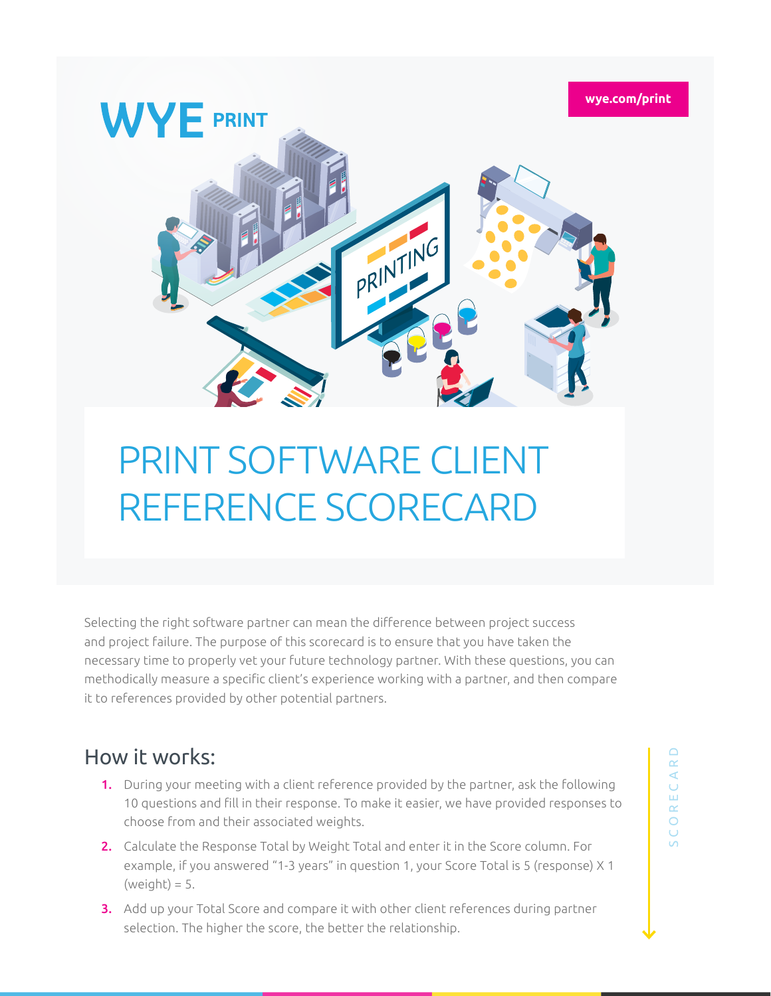

## PRINT SOFTWARE CLIENT REFERENCE SCORECARD

Selecting the right software partner can mean the difference between project success and project failure. The purpose of this scorecard is to ensure that you have taken the necessary time to properly vet your future technology partner. With these questions, you can methodically measure a specific client's experience working with a partner, and then compare it to references provided by other potential partners.

## How it works:

- 1. During your meeting with a client reference provided by the partner, ask the following 10 questions and fill in their response. To make it easier, we have provided responses to choose from and their associated weights.
- 2. Calculate the Response Total by Weight Total and enter it in the Score column. For example, if you answered "1-3 years" in question 1, your Score Total is 5 (response) X 1  $(weight) = 5.$
- 3. Add up your Total Score and compare it with other client references during partner selection. The higher the score, the better the relationship.